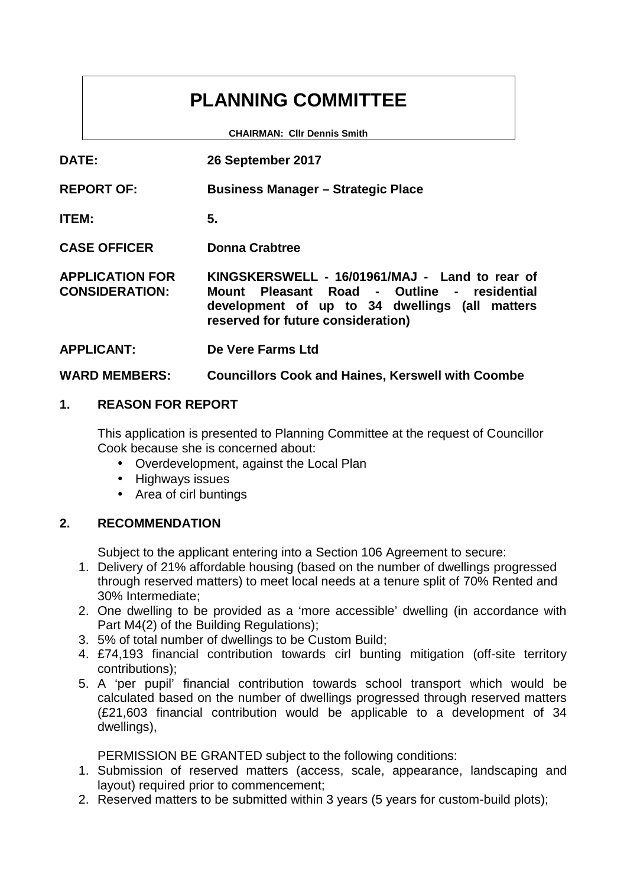# **PLANNING COMMITTEE**

**CHAIRMAN: Cllr Dennis Smith**

| <b>DATE:</b>                                    | 26 September 2017                                                                                                                                                                        |
|-------------------------------------------------|------------------------------------------------------------------------------------------------------------------------------------------------------------------------------------------|
| <b>REPORT OF:</b>                               | <b>Business Manager – Strategic Place</b>                                                                                                                                                |
| <b>ITEM:</b>                                    | 5.                                                                                                                                                                                       |
| <b>CASE OFFICER</b>                             | <b>Donna Crabtree</b>                                                                                                                                                                    |
| <b>APPLICATION FOR</b><br><b>CONSIDERATION:</b> | KINGSKERSWELL - 16/01961/MAJ - Land to rear of<br>Pleasant Road - Outline - residential<br>Mount<br>development of up to 34 dwellings (all matters<br>reserved for future consideration) |
| <b>APPLICANT:</b>                               | De Vere Farms Ltd                                                                                                                                                                        |

# **WARD MEMBERS: Councillors Cook and Haines, Kerswell with Coombe**

# **1. REASON FOR REPORT**

This application is presented to Planning Committee at the request of Councillor Cook because she is concerned about:

- Overdevelopment, against the Local Plan
- Highways issues
- Area of cirl buntings

# **2. RECOMMENDATION**

Subject to the applicant entering into a Section 106 Agreement to secure:

- 1. Delivery of 21% affordable housing (based on the number of dwellings progressed through reserved matters) to meet local needs at a tenure split of 70% Rented and 30% Intermediate;
- 2. One dwelling to be provided as a 'more accessible' dwelling (in accordance with Part M4(2) of the Building Regulations);
- 3. 5% of total number of dwellings to be Custom Build;
- 4. £74,193 financial contribution towards cirl bunting mitigation (off-site territory contributions);
- 5. A 'per pupil' financial contribution towards school transport which would be calculated based on the number of dwellings progressed through reserved matters (£21,603 financial contribution would be applicable to a development of 34 dwellings),

PERMISSION BE GRANTED subject to the following conditions:

- 1. Submission of reserved matters (access, scale, appearance, landscaping and layout) required prior to commencement;
- 2. Reserved matters to be submitted within 3 years (5 years for custom-build plots);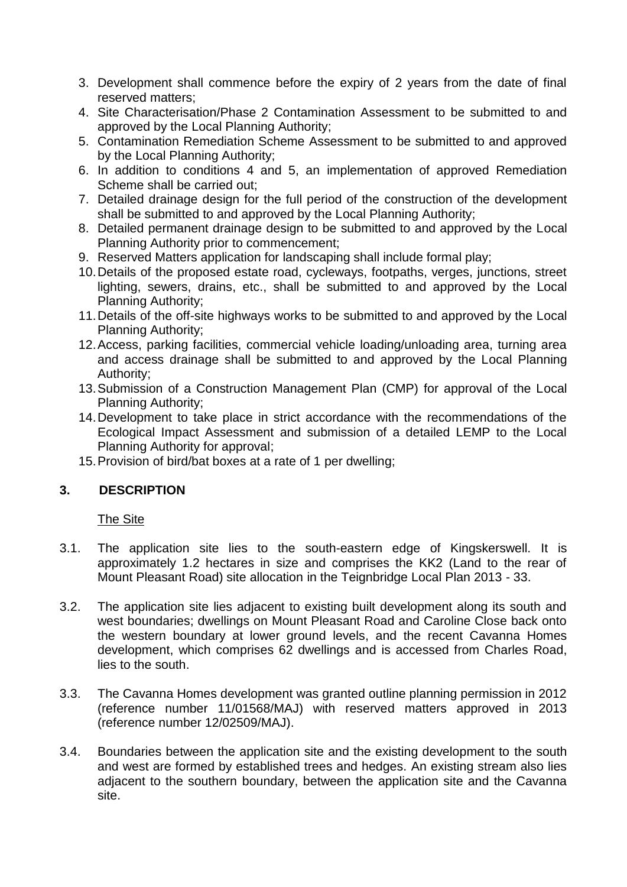- 3. Development shall commence before the expiry of 2 years from the date of final reserved matters;
- 4. Site Characterisation/Phase 2 Contamination Assessment to be submitted to and approved by the Local Planning Authority;
- 5. Contamination Remediation Scheme Assessment to be submitted to and approved by the Local Planning Authority;
- 6. In addition to conditions 4 and 5, an implementation of approved Remediation Scheme shall be carried out;
- 7. Detailed drainage design for the full period of the construction of the development shall be submitted to and approved by the Local Planning Authority;
- 8. Detailed permanent drainage design to be submitted to and approved by the Local Planning Authority prior to commencement;
- 9. Reserved Matters application for landscaping shall include formal play;
- 10.Details of the proposed estate road, cycleways, footpaths, verges, junctions, street lighting, sewers, drains, etc., shall be submitted to and approved by the Local Planning Authority;
- 11.Details of the off-site highways works to be submitted to and approved by the Local Planning Authority;
- 12.Access, parking facilities, commercial vehicle loading/unloading area, turning area and access drainage shall be submitted to and approved by the Local Planning Authority;
- 13.Submission of a Construction Management Plan (CMP) for approval of the Local Planning Authority;
- 14.Development to take place in strict accordance with the recommendations of the Ecological Impact Assessment and submission of a detailed LEMP to the Local Planning Authority for approval;
- 15.Provision of bird/bat boxes at a rate of 1 per dwelling;

# **3. DESCRIPTION**

The Site

- 3.1. The application site lies to the south-eastern edge of Kingskerswell. It is approximately 1.2 hectares in size and comprises the KK2 (Land to the rear of Mount Pleasant Road) site allocation in the Teignbridge Local Plan 2013 - 33.
- 3.2. The application site lies adjacent to existing built development along its south and west boundaries; dwellings on Mount Pleasant Road and Caroline Close back onto the western boundary at lower ground levels, and the recent Cavanna Homes development, which comprises 62 dwellings and is accessed from Charles Road, lies to the south.
- 3.3. The Cavanna Homes development was granted outline planning permission in 2012 (reference number 11/01568/MAJ) with reserved matters approved in 2013 (reference number 12/02509/MAJ).
- 3.4. Boundaries between the application site and the existing development to the south and west are formed by established trees and hedges. An existing stream also lies adjacent to the southern boundary, between the application site and the Cavanna site.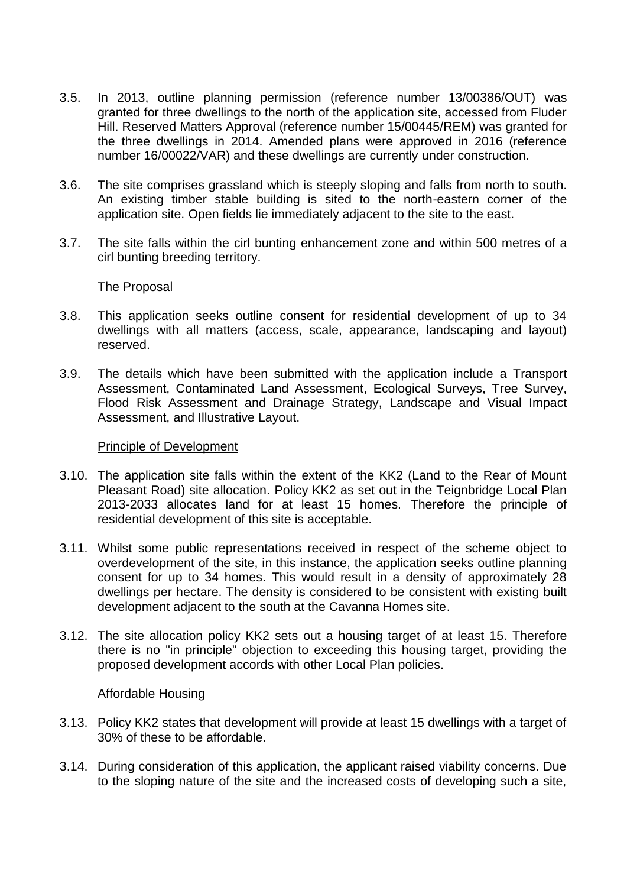- 3.5. In 2013, outline planning permission (reference number 13/00386/OUT) was granted for three dwellings to the north of the application site, accessed from Fluder Hill. Reserved Matters Approval (reference number 15/00445/REM) was granted for the three dwellings in 2014. Amended plans were approved in 2016 (reference number 16/00022/VAR) and these dwellings are currently under construction.
- 3.6. The site comprises grassland which is steeply sloping and falls from north to south. An existing timber stable building is sited to the north-eastern corner of the application site. Open fields lie immediately adjacent to the site to the east.
- 3.7. The site falls within the cirl bunting enhancement zone and within 500 metres of a cirl bunting breeding territory.

#### The Proposal

- 3.8. This application seeks outline consent for residential development of up to 34 dwellings with all matters (access, scale, appearance, landscaping and layout) reserved.
- 3.9. The details which have been submitted with the application include a Transport Assessment, Contaminated Land Assessment, Ecological Surveys, Tree Survey, Flood Risk Assessment and Drainage Strategy, Landscape and Visual Impact Assessment, and Illustrative Layout.

#### Principle of Development

- 3.10. The application site falls within the extent of the KK2 (Land to the Rear of Mount Pleasant Road) site allocation. Policy KK2 as set out in the Teignbridge Local Plan 2013-2033 allocates land for at least 15 homes. Therefore the principle of residential development of this site is acceptable.
- 3.11. Whilst some public representations received in respect of the scheme object to overdevelopment of the site, in this instance, the application seeks outline planning consent for up to 34 homes. This would result in a density of approximately 28 dwellings per hectare. The density is considered to be consistent with existing built development adjacent to the south at the Cavanna Homes site.
- 3.12. The site allocation policy KK2 sets out a housing target of at least 15. Therefore there is no "in principle" objection to exceeding this housing target, providing the proposed development accords with other Local Plan policies.

#### Affordable Housing

- 3.13. Policy KK2 states that development will provide at least 15 dwellings with a target of 30% of these to be affordable.
- 3.14. During consideration of this application, the applicant raised viability concerns. Due to the sloping nature of the site and the increased costs of developing such a site,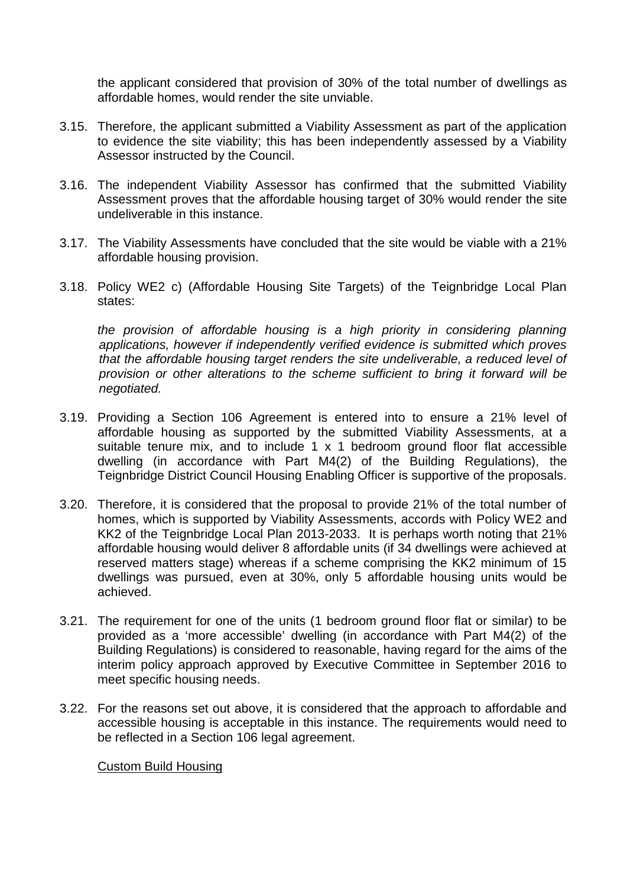the applicant considered that provision of 30% of the total number of dwellings as affordable homes, would render the site unviable.

- 3.15. Therefore, the applicant submitted a Viability Assessment as part of the application to evidence the site viability; this has been independently assessed by a Viability Assessor instructed by the Council.
- 3.16. The independent Viability Assessor has confirmed that the submitted Viability Assessment proves that the affordable housing target of 30% would render the site undeliverable in this instance.
- 3.17. The Viability Assessments have concluded that the site would be viable with a 21% affordable housing provision.
- 3.18. Policy WE2 c) (Affordable Housing Site Targets) of the Teignbridge Local Plan states:

*the provision of affordable housing is a high priority in considering planning applications, however if independently verified evidence is submitted which proves that the affordable housing target renders the site undeliverable, a reduced level of provision or other alterations to the scheme sufficient to bring it forward will be negotiated.*

- 3.19. Providing a Section 106 Agreement is entered into to ensure a 21% level of affordable housing as supported by the submitted Viability Assessments, at a suitable tenure mix, and to include 1 x 1 bedroom ground floor flat accessible dwelling (in accordance with Part M4(2) of the Building Regulations), the Teignbridge District Council Housing Enabling Officer is supportive of the proposals.
- 3.20. Therefore, it is considered that the proposal to provide 21% of the total number of homes, which is supported by Viability Assessments, accords with Policy WE2 and KK2 of the Teignbridge Local Plan 2013-2033. It is perhaps worth noting that 21% affordable housing would deliver 8 affordable units (if 34 dwellings were achieved at reserved matters stage) whereas if a scheme comprising the KK2 minimum of 15 dwellings was pursued, even at 30%, only 5 affordable housing units would be achieved.
- 3.21. The requirement for one of the units (1 bedroom ground floor flat or similar) to be provided as a 'more accessible' dwelling (in accordance with Part M4(2) of the Building Regulations) is considered to reasonable, having regard for the aims of the interim policy approach approved by Executive Committee in September 2016 to meet specific housing needs.
- 3.22. For the reasons set out above, it is considered that the approach to affordable and accessible housing is acceptable in this instance. The requirements would need to be reflected in a Section 106 legal agreement.

#### Custom Build Housing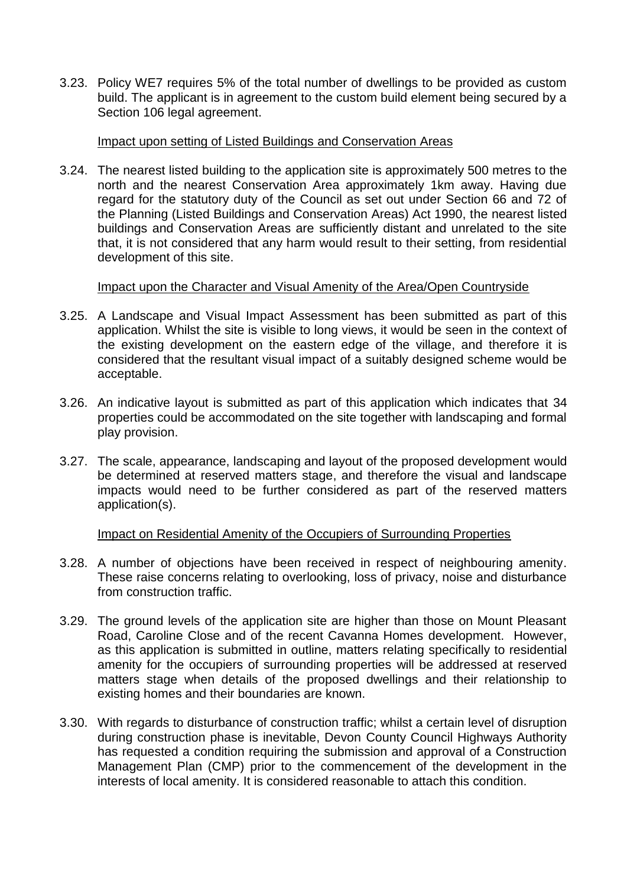3.23. Policy WE7 requires 5% of the total number of dwellings to be provided as custom build. The applicant is in agreement to the custom build element being secured by a Section 106 legal agreement.

## Impact upon setting of Listed Buildings and Conservation Areas

3.24. The nearest listed building to the application site is approximately 500 metres to the north and the nearest Conservation Area approximately 1km away. Having due regard for the statutory duty of the Council as set out under Section 66 and 72 of the Planning (Listed Buildings and Conservation Areas) Act 1990, the nearest listed buildings and Conservation Areas are sufficiently distant and unrelated to the site that, it is not considered that any harm would result to their setting, from residential development of this site.

#### Impact upon the Character and Visual Amenity of the Area/Open Countryside

- 3.25. A Landscape and Visual Impact Assessment has been submitted as part of this application. Whilst the site is visible to long views, it would be seen in the context of the existing development on the eastern edge of the village, and therefore it is considered that the resultant visual impact of a suitably designed scheme would be acceptable.
- 3.26. An indicative layout is submitted as part of this application which indicates that 34 properties could be accommodated on the site together with landscaping and formal play provision.
- 3.27. The scale, appearance, landscaping and layout of the proposed development would be determined at reserved matters stage, and therefore the visual and landscape impacts would need to be further considered as part of the reserved matters application(s).

# Impact on Residential Amenity of the Occupiers of Surrounding Properties

- 3.28. A number of objections have been received in respect of neighbouring amenity. These raise concerns relating to overlooking, loss of privacy, noise and disturbance from construction traffic.
- 3.29. The ground levels of the application site are higher than those on Mount Pleasant Road, Caroline Close and of the recent Cavanna Homes development. However, as this application is submitted in outline, matters relating specifically to residential amenity for the occupiers of surrounding properties will be addressed at reserved matters stage when details of the proposed dwellings and their relationship to existing homes and their boundaries are known.
- 3.30. With regards to disturbance of construction traffic; whilst a certain level of disruption during construction phase is inevitable, Devon County Council Highways Authority has requested a condition requiring the submission and approval of a Construction Management Plan (CMP) prior to the commencement of the development in the interests of local amenity. It is considered reasonable to attach this condition.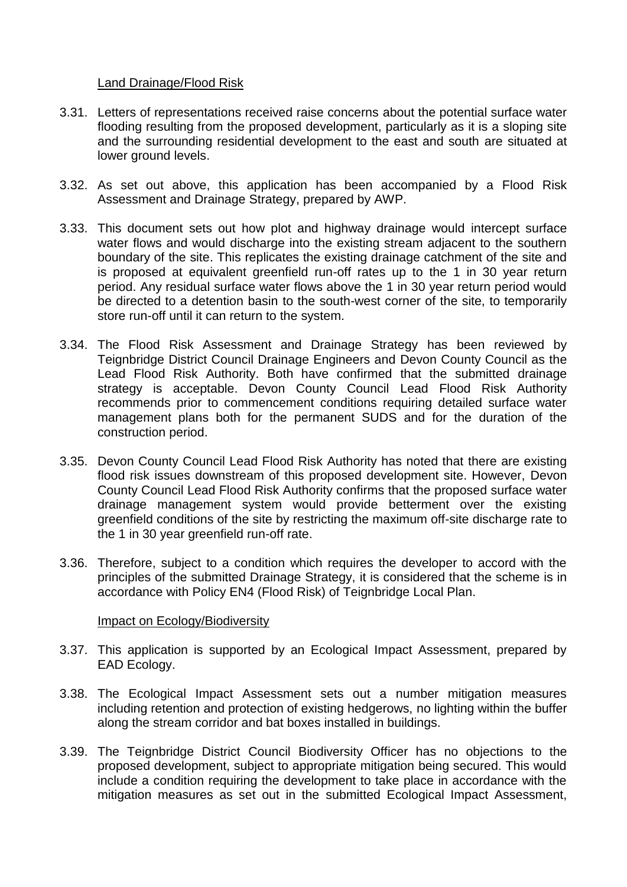# Land Drainage/Flood Risk

- 3.31. Letters of representations received raise concerns about the potential surface water flooding resulting from the proposed development, particularly as it is a sloping site and the surrounding residential development to the east and south are situated at lower ground levels.
- 3.32. As set out above, this application has been accompanied by a Flood Risk Assessment and Drainage Strategy, prepared by AWP.
- 3.33. This document sets out how plot and highway drainage would intercept surface water flows and would discharge into the existing stream adjacent to the southern boundary of the site. This replicates the existing drainage catchment of the site and is proposed at equivalent greenfield run-off rates up to the 1 in 30 year return period. Any residual surface water flows above the 1 in 30 year return period would be directed to a detention basin to the south-west corner of the site, to temporarily store run-off until it can return to the system.
- 3.34. The Flood Risk Assessment and Drainage Strategy has been reviewed by Teignbridge District Council Drainage Engineers and Devon County Council as the Lead Flood Risk Authority. Both have confirmed that the submitted drainage strategy is acceptable. Devon County Council Lead Flood Risk Authority recommends prior to commencement conditions requiring detailed surface water management plans both for the permanent SUDS and for the duration of the construction period.
- 3.35. Devon County Council Lead Flood Risk Authority has noted that there are existing flood risk issues downstream of this proposed development site. However, Devon County Council Lead Flood Risk Authority confirms that the proposed surface water drainage management system would provide betterment over the existing greenfield conditions of the site by restricting the maximum off-site discharge rate to the 1 in 30 year greenfield run-off rate.
- 3.36. Therefore, subject to a condition which requires the developer to accord with the principles of the submitted Drainage Strategy, it is considered that the scheme is in accordance with Policy EN4 (Flood Risk) of Teignbridge Local Plan.

#### Impact on Ecology/Biodiversity

- 3.37. This application is supported by an Ecological Impact Assessment, prepared by EAD Ecology.
- 3.38. The Ecological Impact Assessment sets out a number mitigation measures including retention and protection of existing hedgerows, no lighting within the buffer along the stream corridor and bat boxes installed in buildings.
- 3.39. The Teignbridge District Council Biodiversity Officer has no objections to the proposed development, subject to appropriate mitigation being secured. This would include a condition requiring the development to take place in accordance with the mitigation measures as set out in the submitted Ecological Impact Assessment,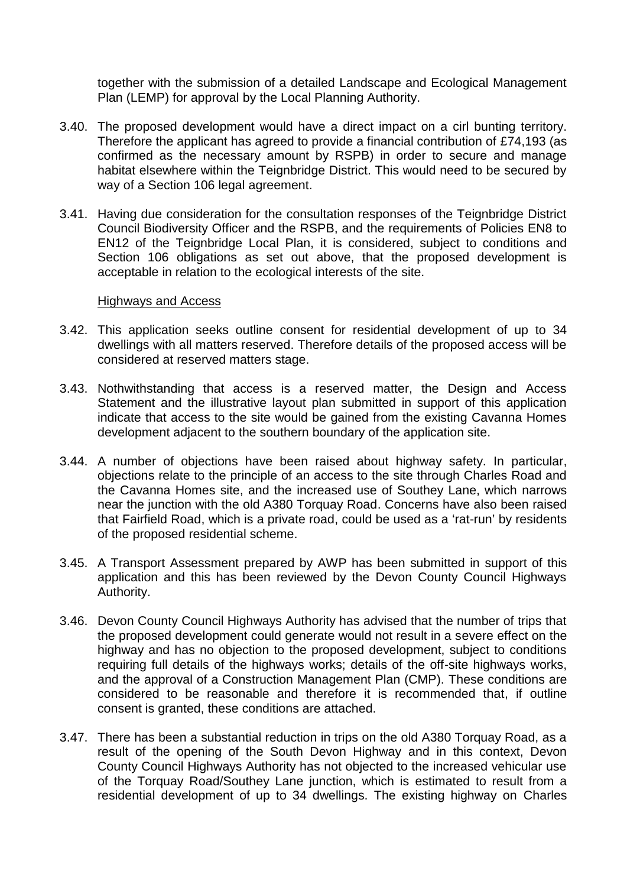together with the submission of a detailed Landscape and Ecological Management Plan (LEMP) for approval by the Local Planning Authority.

- 3.40. The proposed development would have a direct impact on a cirl bunting territory. Therefore the applicant has agreed to provide a financial contribution of £74,193 (as confirmed as the necessary amount by RSPB) in order to secure and manage habitat elsewhere within the Teignbridge District. This would need to be secured by way of a Section 106 legal agreement.
- 3.41. Having due consideration for the consultation responses of the Teignbridge District Council Biodiversity Officer and the RSPB, and the requirements of Policies EN8 to EN12 of the Teignbridge Local Plan, it is considered, subject to conditions and Section 106 obligations as set out above, that the proposed development is acceptable in relation to the ecological interests of the site.

#### Highways and Access

- 3.42. This application seeks outline consent for residential development of up to 34 dwellings with all matters reserved. Therefore details of the proposed access will be considered at reserved matters stage.
- 3.43. Nothwithstanding that access is a reserved matter, the Design and Access Statement and the illustrative layout plan submitted in support of this application indicate that access to the site would be gained from the existing Cavanna Homes development adjacent to the southern boundary of the application site.
- 3.44. A number of objections have been raised about highway safety. In particular, objections relate to the principle of an access to the site through Charles Road and the Cavanna Homes site, and the increased use of Southey Lane, which narrows near the junction with the old A380 Torquay Road. Concerns have also been raised that Fairfield Road, which is a private road, could be used as a 'rat-run' by residents of the proposed residential scheme.
- 3.45. A Transport Assessment prepared by AWP has been submitted in support of this application and this has been reviewed by the Devon County Council Highways Authority.
- 3.46. Devon County Council Highways Authority has advised that the number of trips that the proposed development could generate would not result in a severe effect on the highway and has no objection to the proposed development, subject to conditions requiring full details of the highways works; details of the off-site highways works, and the approval of a Construction Management Plan (CMP). These conditions are considered to be reasonable and therefore it is recommended that, if outline consent is granted, these conditions are attached.
- 3.47. There has been a substantial reduction in trips on the old A380 Torquay Road, as a result of the opening of the South Devon Highway and in this context, Devon County Council Highways Authority has not objected to the increased vehicular use of the Torquay Road/Southey Lane junction, which is estimated to result from a residential development of up to 34 dwellings. The existing highway on Charles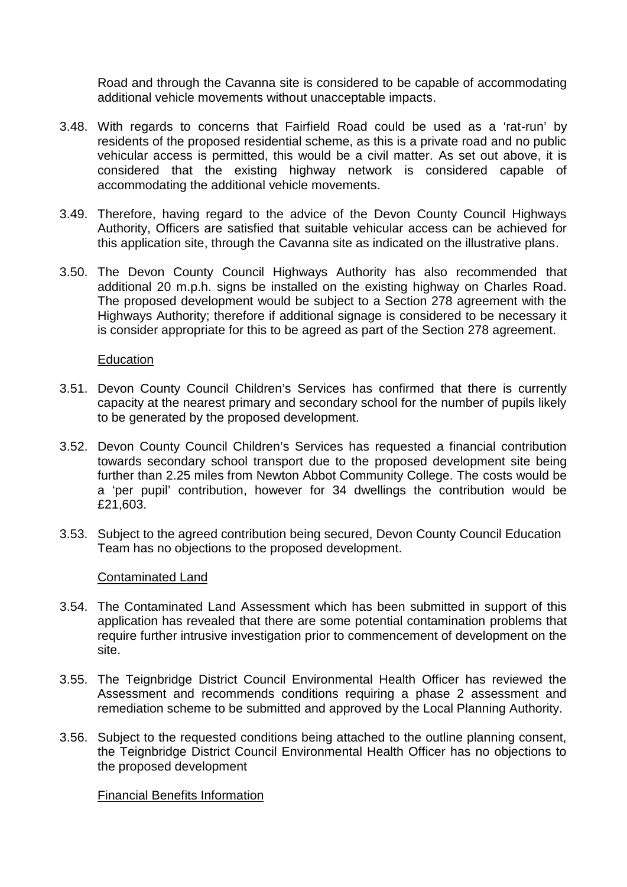Road and through the Cavanna site is considered to be capable of accommodating additional vehicle movements without unacceptable impacts.

- 3.48. With regards to concerns that Fairfield Road could be used as a 'rat-run' by residents of the proposed residential scheme, as this is a private road and no public vehicular access is permitted, this would be a civil matter. As set out above, it is considered that the existing highway network is considered capable of accommodating the additional vehicle movements.
- 3.49. Therefore, having regard to the advice of the Devon County Council Highways Authority, Officers are satisfied that suitable vehicular access can be achieved for this application site, through the Cavanna site as indicated on the illustrative plans.
- 3.50. The Devon County Council Highways Authority has also recommended that additional 20 m.p.h. signs be installed on the existing highway on Charles Road. The proposed development would be subject to a Section 278 agreement with the Highways Authority; therefore if additional signage is considered to be necessary it is consider appropriate for this to be agreed as part of the Section 278 agreement.

#### Education

- 3.51. Devon County Council Children's Services has confirmed that there is currently capacity at the nearest primary and secondary school for the number of pupils likely to be generated by the proposed development.
- 3.52. Devon County Council Children's Services has requested a financial contribution towards secondary school transport due to the proposed development site being further than 2.25 miles from Newton Abbot Community College. The costs would be a 'per pupil' contribution, however for 34 dwellings the contribution would be £21,603.
- 3.53. Subject to the agreed contribution being secured, Devon County Council Education Team has no objections to the proposed development.

#### Contaminated Land

- 3.54. The Contaminated Land Assessment which has been submitted in support of this application has revealed that there are some potential contamination problems that require further intrusive investigation prior to commencement of development on the site.
- 3.55. The Teignbridge District Council Environmental Health Officer has reviewed the Assessment and recommends conditions requiring a phase 2 assessment and remediation scheme to be submitted and approved by the Local Planning Authority.
- 3.56. Subject to the requested conditions being attached to the outline planning consent, the Teignbridge District Council Environmental Health Officer has no objections to the proposed development

Financial Benefits Information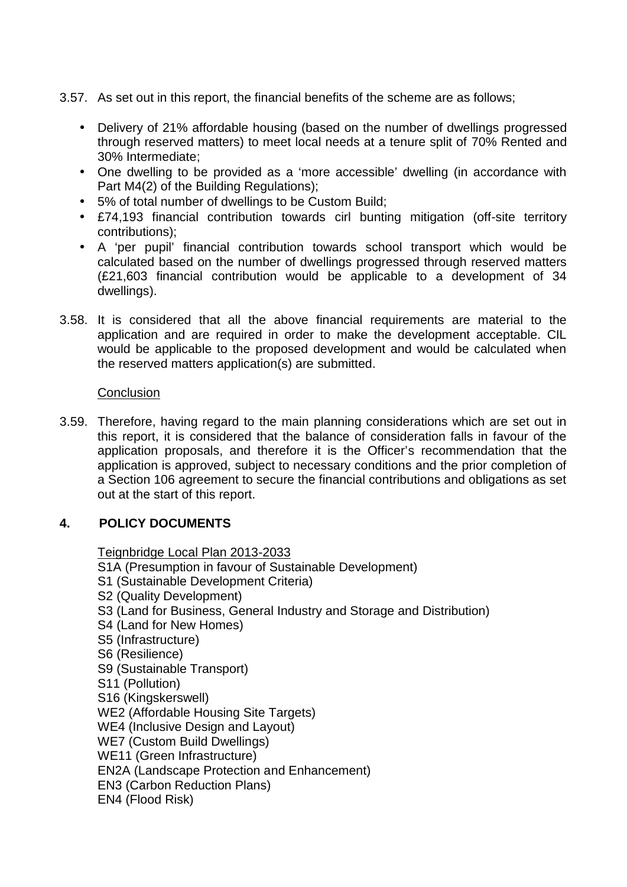- 3.57. As set out in this report, the financial benefits of the scheme are as follows;
	- Delivery of 21% affordable housing (based on the number of dwellings progressed through reserved matters) to meet local needs at a tenure split of 70% Rented and 30% Intermediate;
	- One dwelling to be provided as a 'more accessible' dwelling (in accordance with Part M4(2) of the Building Regulations);
	- 5% of total number of dwellings to be Custom Build;
	- £74,193 financial contribution towards cirl bunting mitigation (off-site territory contributions);
	- A 'per pupil' financial contribution towards school transport which would be calculated based on the number of dwellings progressed through reserved matters (£21,603 financial contribution would be applicable to a development of 34 dwellings).
- 3.58. It is considered that all the above financial requirements are material to the application and are required in order to make the development acceptable. CIL would be applicable to the proposed development and would be calculated when the reserved matters application(s) are submitted.

#### **Conclusion**

3.59. Therefore, having regard to the main planning considerations which are set out in this report, it is considered that the balance of consideration falls in favour of the application proposals, and therefore it is the Officer's recommendation that the application is approved, subject to necessary conditions and the prior completion of a Section 106 agreement to secure the financial contributions and obligations as set out at the start of this report.

# **4. POLICY DOCUMENTS**

Teignbridge Local Plan 2013-2033 S1A (Presumption in favour of Sustainable Development) S1 (Sustainable Development Criteria) S2 (Quality Development) S3 (Land for Business, General Industry and Storage and Distribution) S4 (Land for New Homes) S5 (Infrastructure) S6 (Resilience) S9 (Sustainable Transport) S11 (Pollution) S16 (Kingskerswell) WE2 (Affordable Housing Site Targets) WE4 (Inclusive Design and Layout) WE7 (Custom Build Dwellings) WE11 (Green Infrastructure) EN2A (Landscape Protection and Enhancement) EN3 (Carbon Reduction Plans) EN4 (Flood Risk)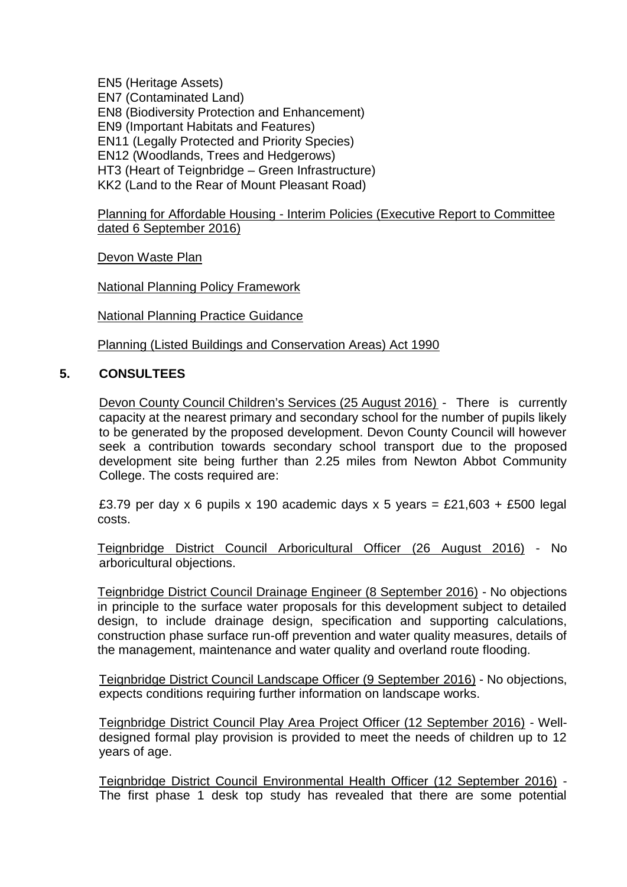EN5 (Heritage Assets) EN7 (Contaminated Land) EN8 (Biodiversity Protection and Enhancement) EN9 (Important Habitats and Features) EN11 (Legally Protected and Priority Species) EN12 (Woodlands, Trees and Hedgerows) HT3 (Heart of Teignbridge – Green Infrastructure) KK2 (Land to the Rear of Mount Pleasant Road)

Planning for Affordable Housing - Interim Policies (Executive Report to Committee dated 6 September 2016)

Devon Waste Plan

National Planning Policy Framework

National Planning Practice Guidance

Planning (Listed Buildings and Conservation Areas) Act 1990

#### **5. CONSULTEES**

Devon County Council Children's Services (25 August 2016) - There is currently capacity at the nearest primary and secondary school for the number of pupils likely to be generated by the proposed development. Devon County Council will however seek a contribution towards secondary school transport due to the proposed development site being further than 2.25 miles from Newton Abbot Community College. The costs required are:

£3.79 per day x 6 pupils x 190 academic days x 5 years = £21,603 + £500 legal costs.

Teignbridge District Council Arboricultural Officer (26 August 2016) - No arboricultural objections.

Teignbridge District Council Drainage Engineer (8 September 2016) - No objections in principle to the surface water proposals for this development subject to detailed design, to include drainage design, specification and supporting calculations, construction phase surface run-off prevention and water quality measures, details of the management, maintenance and water quality and overland route flooding.

Teignbridge District Council Landscape Officer (9 September 2016) - No objections, expects conditions requiring further information on landscape works.

Teignbridge District Council Play Area Project Officer (12 September 2016) - Well designed formal play provision is provided to meet the needs of children up to 12 years of age.

Teignbridge District Council Environmental Health Officer (12 September 2016) - The first phase 1 desk top study has revealed that there are some potential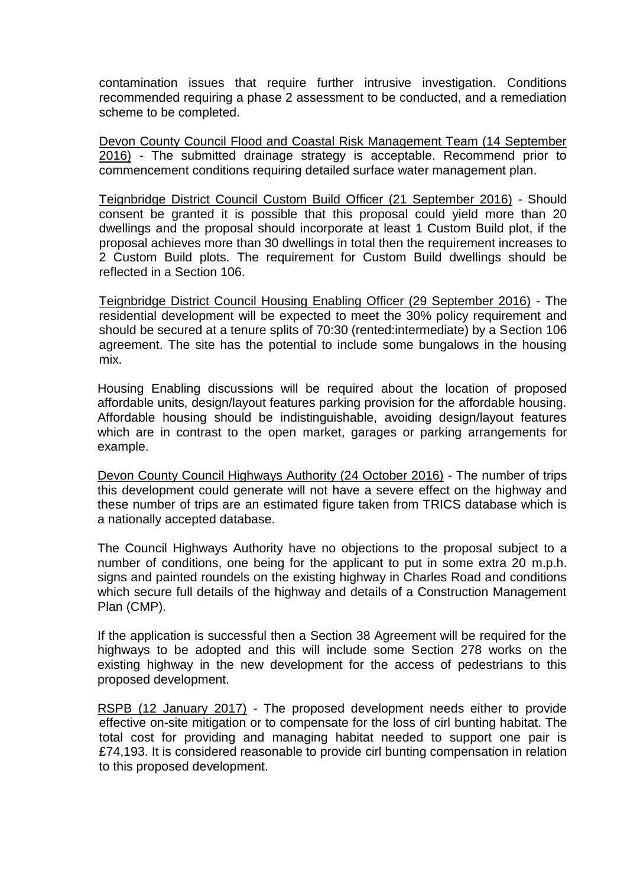contamination issues that require further intrusive investigation. Conditions recommended requiring a phase 2 assessment to be conducted, and a remediation scheme to be completed.

Devon County Council Flood and Coastal Risk Management Team (14 September 2016) - The submitted drainage strategy is acceptable. Recommend prior to commencement conditions requiring detailed surface water management plan.

Teignbridge District Council Custom Build Officer (21 September 2016) - Should consent be granted it is possible that this proposal could yield more than 20 dwellings and the proposal should incorporate at least 1 Custom Build plot, if the proposal achieves more than 30 dwellings in total then the requirement increases to 2 Custom Build plots. The requirement for Custom Build dwellings should be reflected in a Section 106.

Teignbridge District Council Housing Enabling Officer (29 September 2016) - The residential development will be expected to meet the 30% policy requirement and should be secured at a tenure splits of 70:30 (rented:intermediate) by a Section 106 agreement. The site has the potential to include some bungalows in the housing mix.

Housing Enabling discussions will be required about the location of proposed affordable units, design/layout features parking provision for the affordable housing. Affordable housing should be indistinguishable, avoiding design/layout features which are in contrast to the open market, garages or parking arrangements for example.

Devon County Council Highways Authority (24 October 2016) - The number of trips this development could generate will not have a severe effect on the highway and these number of trips are an estimated figure taken from TRICS database which is a nationally accepted database.

The Council Highways Authority have no objections to the proposal subject to a number of conditions, one being for the applicant to put in some extra 20 m.p.h. signs and painted roundels on the existing highway in Charles Road and conditions which secure full details of the highway and details of a Construction Management Plan (CMP).

If the application is successful then a Section 38 Agreement will be required for the highways to be adopted and this will include some Section 278 works on the existing highway in the new development for the access of pedestrians to this proposed development.

RSPB (12 January 2017) - The proposed development needs either to provide effective on-site mitigation or to compensate for the loss of cirl bunting habitat. The total cost for providing and managing habitat needed to support one pair is £74,193. It is considered reasonable to provide cirl bunting compensation in relation to this proposed development.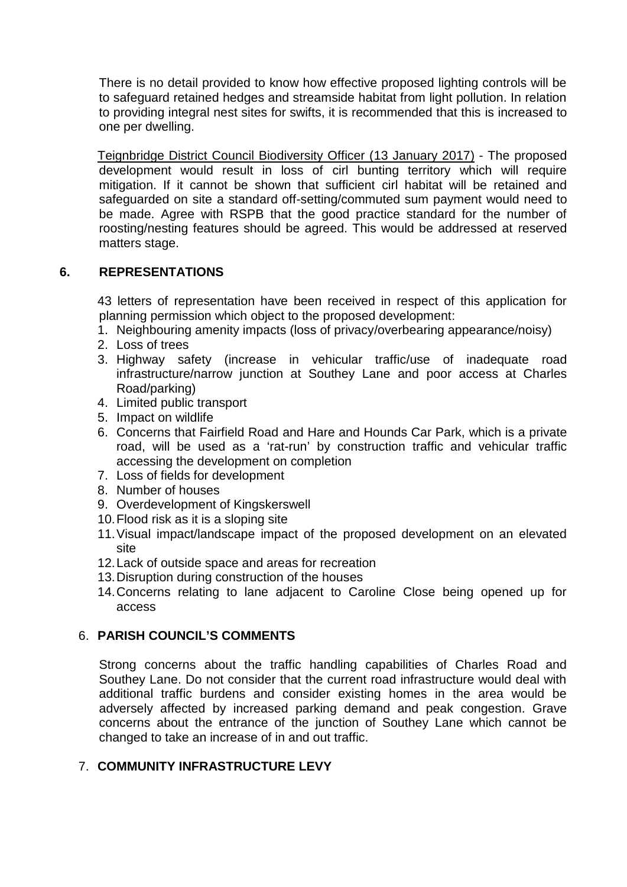There is no detail provided to know how effective proposed lighting controls will be to safeguard retained hedges and streamside habitat from light pollution. In relation to providing integral nest sites for swifts, it is recommended that this is increased to one per dwelling.

Teignbridge District Council Biodiversity Officer (13 January 2017) - The proposed development would result in loss of cirl bunting territory which will require mitigation. If it cannot be shown that sufficient cirl habitat will be retained and safeguarded on site a standard off-setting/commuted sum payment would need to be made. Agree with RSPB that the good practice standard for the number of roosting/nesting features should be agreed. This would be addressed at reserved matters stage.

# **6. REPRESENTATIONS**

43 letters of representation have been received in respect of this application for planning permission which object to the proposed development:

- 1. Neighbouring amenity impacts (loss of privacy/overbearing appearance/noisy)
- 2. Loss of trees
- 3. Highway safety (increase in vehicular traffic/use of inadequate road infrastructure/narrow junction at Southey Lane and poor access at Charles Road/parking)
- 4. Limited public transport
- 5. Impact on wildlife
- 6. Concerns that Fairfield Road and Hare and Hounds Car Park, which is a private road, will be used as a 'rat-run' by construction traffic and vehicular traffic accessing the development on completion
- 7. Loss of fields for development
- 8. Number of houses
- 9. Overdevelopment of Kingskerswell
- 10.Flood risk as it is a sloping site
- 11.Visual impact/landscape impact of the proposed development on an elevated site
- 12.Lack of outside space and areas for recreation
- 13.Disruption during construction of the houses
- 14.Concerns relating to lane adjacent to Caroline Close being opened up for access

# 6. **PARISH COUNCIL'S COMMENTS**

Strong concerns about the traffic handling capabilities of Charles Road and Southey Lane. Do not consider that the current road infrastructure would deal with additional traffic burdens and consider existing homes in the area would be adversely affected by increased parking demand and peak congestion. Grave concerns about the entrance of the junction of Southey Lane which cannot be changed to take an increase of in and out traffic.

# 7. **COMMUNITY INFRASTRUCTURE LEVY**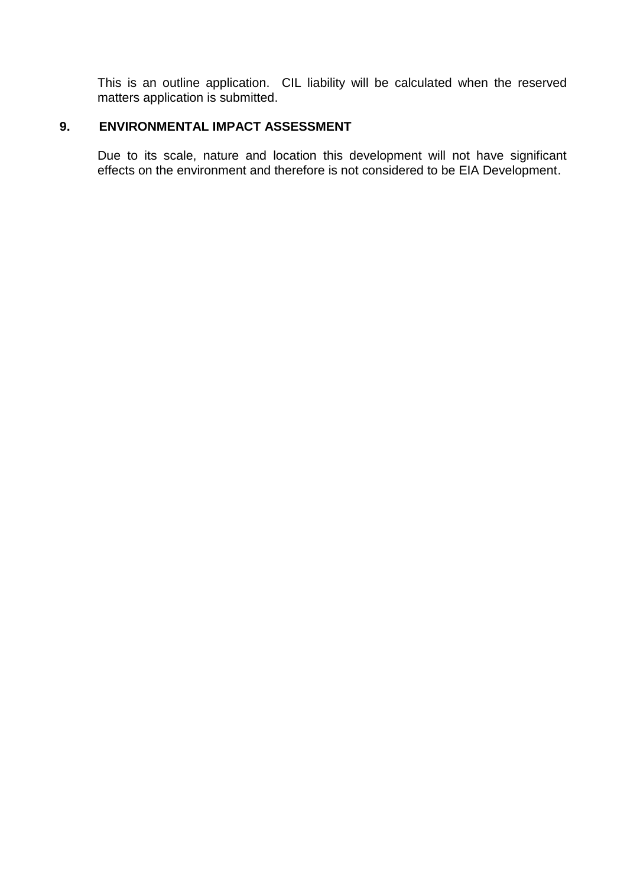This is an outline application. CIL liability will be calculated when the reserved matters application is submitted.

# **9. ENVIRONMENTAL IMPACT ASSESSMENT**

Due to its scale, nature and location this development will not have significant effects on the environment and therefore is not considered to be EIA Development.